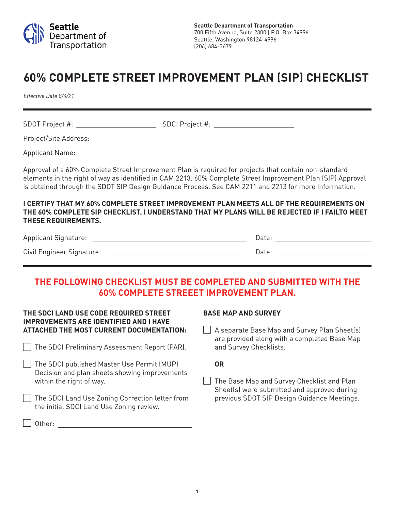

# **60% COMPLETE STREET IMPROVEMENT PLAN (SIP) CHECKLIST**

*Effective Date 8/4/21*

SDOT Project #: SDCI Project #: SDCI Project #: Project/Site Address: Applicant Name:

Approval of a 60% Complete Street Improvement Plan is required for projects that contain non-standard elements in the right of way as identified in CAM 2213. 60% Complete Street Improvement Plan (SIP) Approval is obtained through the SDOT SIP Design Guidance Process. See CAM 2211 and 2213 for more information.

#### **I CERTIFY THAT MY 60% COMPLETE STREET IMPROVEMENT PLAN MEETS ALL OF THE REQUIREMENTS ON THE 60% COMPLETE SIP CHECKLIST. I UNDERSTAND THAT MY PLANS WILL BE REJECTED IF I FAILTO MEET THESE REQUIREMENTS.**

| <b>Applicant Signature:</b> |      |
|-----------------------------|------|
| Civil Engineer Signature:   | Date |

# **THE FOLLOWING CHECKLIST MUST BE COMPLETED AND SUBMITTED WITH THE 60% COMPLETE STREEET IMPROVEMENT PLAN.**

#### **THE SDCI LAND USE CODE REQUIRED STREET IMPROVEMENTS ARE IDENTIFIED AND I HAVE ATTACHED THE MOST CURRENT DOCUMENTATION:**

- The SDCI Preliminary Assessment Report (PAR).
- The SDCI published Master Use Permit (MUP) Decision and plan sheets showing improvements within the right of way.
- The SDCI Land Use Zoning Correction letter from the initial SDCI Land Use Zoning review.

#### **BASE MAP AND SURVEY**

| A separate Base Map and Survey Plan Sheet(s) are provided along with a completed Base Map and Survey Checklists.

**OR**

**The Base Map and Survey Checklist and Plan** Sheet(s) were submitted and approved during previous SDOT SIP Design Guidance Meetings.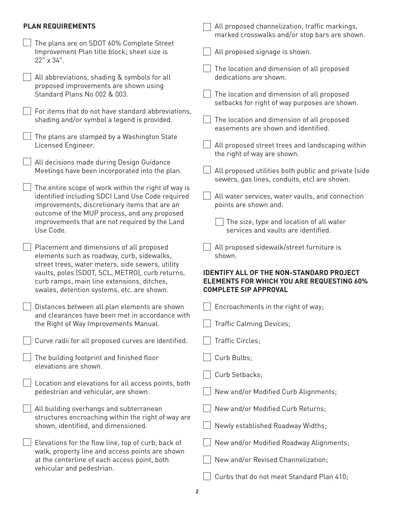## **PLAN REQUIREMENTS**

|  | <b>PLAN REQUIREMENTS</b>                                                                                                                                                                                                                                                                  | All proposed channelization, traffic markings,<br>marked crosswalks and/or stop bars are shown.                                                                                            |
|--|-------------------------------------------------------------------------------------------------------------------------------------------------------------------------------------------------------------------------------------------------------------------------------------------|--------------------------------------------------------------------------------------------------------------------------------------------------------------------------------------------|
|  | The plans are on SDOT 60% Complete Street<br>Improvement Plan title block; sheet size is<br>22" x 34".                                                                                                                                                                                    | All proposed signage is shown.                                                                                                                                                             |
|  | All abbreviations, shading & symbols for all<br>proposed improvements are shown using                                                                                                                                                                                                     | The location and dimension of all proposed<br>dedications are shown.                                                                                                                       |
|  | Standard Plans No 002 & 003.                                                                                                                                                                                                                                                              | The location and dimension of all proposed<br>setbacks for right of way purposes are shown.                                                                                                |
|  | For items that do not have standard abbreviations,<br>shading and/or symbol a legend is provided.                                                                                                                                                                                         | The location and dimension of all proposed<br>easements are shown and identified.                                                                                                          |
|  | The plans are stamped by a Washington State<br>Licensed Engineer.                                                                                                                                                                                                                         | All proposed street trees and landscaping within<br>the right of way are shown.                                                                                                            |
|  | All decisions made during Design Guidance<br>Meetings have been incorporated into the plan.                                                                                                                                                                                               | All proposed utilities both public and private (side<br>sewers, gas lines, conduits, etc) are shown.                                                                                       |
|  | The entire scope of work within the right of way is<br>identified including SDCI Land Use Code required<br>improvements, discretionary items that are an<br>outcome of the MUP process, and any proposed                                                                                  | All water services, water vaults, and connection<br>points are shown and:                                                                                                                  |
|  | improvements that are not required by the Land<br>Use Code.                                                                                                                                                                                                                               | The size, type and location of all water<br>services and vaults are identified.                                                                                                            |
|  | Placement and dimensions of all proposed<br>elements such as roadway, curb, sidewalks,<br>street trees, water meters, side sewers, utility<br>vaults, poles (SDOT, SCL, METRO), curb returns,<br>curb ramps, main line extensions, ditches,<br>swales, detention systems, etc. are shown. | All proposed sidewalk/street furniture is<br>shown.<br><b>IDENTIFY ALL OF THE NON-STANDARD PROJECT</b><br><b>ELEMENTS FOR WHICH YOU ARE REQUESTING 60%</b><br><b>COMPLETE SIP APPROVAL</b> |
|  | Distances between all plan elements are shown                                                                                                                                                                                                                                             | Encroachments in the right of way;                                                                                                                                                         |
|  | and clearances have been met in accordance with<br>the Right of Way Improvements Manual.                                                                                                                                                                                                  | <b>Traffic Calming Devices;</b>                                                                                                                                                            |
|  | Curve radii for all proposed curves are identified.                                                                                                                                                                                                                                       | Traffic Circles;                                                                                                                                                                           |
|  | The building footprint and finished floor<br>elevations are shown.                                                                                                                                                                                                                        | Curb Bulbs;                                                                                                                                                                                |
|  | Location and elevations for all access points, both                                                                                                                                                                                                                                       | Curb Setbacks;                                                                                                                                                                             |
|  | pedestrian and vehicular, are shown.                                                                                                                                                                                                                                                      | New and/or Modified Curb Alignments;                                                                                                                                                       |
|  | All building overhangs and subterranean<br>structures encroaching within the right of way are<br>shown, identified, and dimensioned.                                                                                                                                                      | New and/or Modified Curb Returns;                                                                                                                                                          |
|  |                                                                                                                                                                                                                                                                                           | Newly established Roadway Widths;                                                                                                                                                          |
|  | Elevations for the flow line, top of curb, back of<br>walk, property line and access points are shown<br>at the centerline of each access point, both<br>vehicular and pedestrian.                                                                                                        | New and/or Modified Roadway Alignments;                                                                                                                                                    |
|  |                                                                                                                                                                                                                                                                                           | New and/or Revised Channelization;                                                                                                                                                         |
|  |                                                                                                                                                                                                                                                                                           | Curbs that do not meet Standard Plan 410;                                                                                                                                                  |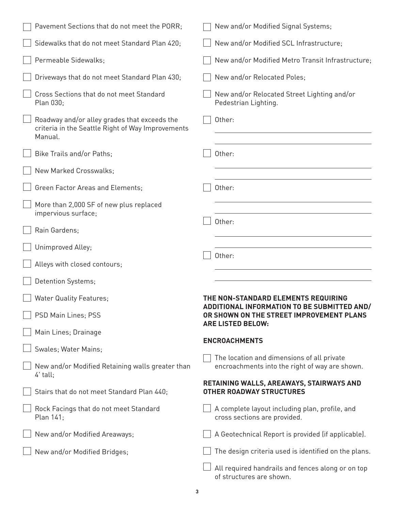| Pavement Sections that do not meet the PORR;                                                                 | New and/or Modified Signal Systems;                                                                                 |
|--------------------------------------------------------------------------------------------------------------|---------------------------------------------------------------------------------------------------------------------|
| Sidewalks that do not meet Standard Plan 420;                                                                | New and/or Modified SCL Infrastructure;                                                                             |
| Permeable Sidewalks;                                                                                         | New and/or Modified Metro Transit Infrastructure;                                                                   |
| Driveways that do not meet Standard Plan 430;                                                                | New and/or Relocated Poles;                                                                                         |
| Cross Sections that do not meet Standard<br>Plan 030;                                                        | New and/or Relocated Street Lighting and/or<br>Pedestrian Lighting.                                                 |
| Roadway and/or alley grades that exceeds the<br>criteria in the Seattle Right of Way Improvements<br>Manual. | Other:                                                                                                              |
| Bike Trails and/or Paths;                                                                                    | Other:                                                                                                              |
| New Marked Crosswalks;                                                                                       |                                                                                                                     |
| Green Factor Areas and Elements;                                                                             | Other:                                                                                                              |
| More than 2,000 SF of new plus replaced<br>impervious surface;                                               |                                                                                                                     |
| Rain Gardens;                                                                                                | Other:                                                                                                              |
| Unimproved Alley;                                                                                            |                                                                                                                     |
| Alleys with closed contours;                                                                                 | Other:                                                                                                              |
| Detention Systems;                                                                                           |                                                                                                                     |
| <b>Water Quality Features;</b>                                                                               | THE NON-STANDARD ELEMENTS REQUIRING                                                                                 |
| PSD Main Lines; PSS                                                                                          | ADDITIONAL INFORMATION TO BE SUBMITTED AND/<br>OR SHOWN ON THE STREET IMPROVEMENT PLANS<br><b>ARE LISTED BELOW:</b> |
| Main Lines; Drainage                                                                                         | <b>ENCROACHMENTS</b>                                                                                                |
| Swales; Water Mains;                                                                                         |                                                                                                                     |
| New and/or Modified Retaining walls greater than<br>4' tall;                                                 | The location and dimensions of all private<br>encroachments into the right of way are shown.                        |
| Stairs that do not meet Standard Plan 440;                                                                   | RETAINING WALLS, AREAWAYS, STAIRWAYS AND<br><b>OTHER ROADWAY STRUCTURES</b>                                         |
| Rock Facings that do not meet Standard<br>Plan 141;                                                          | A complete layout including plan, profile, and<br>cross sections are provided.                                      |
| New and/or Modified Areaways;                                                                                | A Geotechnical Report is provided (if applicable).                                                                  |
| New and/or Modified Bridges;                                                                                 | The design criteria used is identified on the plans.                                                                |
|                                                                                                              | All required handrails and fences along or on top<br>of structures are shown.                                       |

| ı |  |   |
|---|--|---|
| i |  |   |
|   |  | I |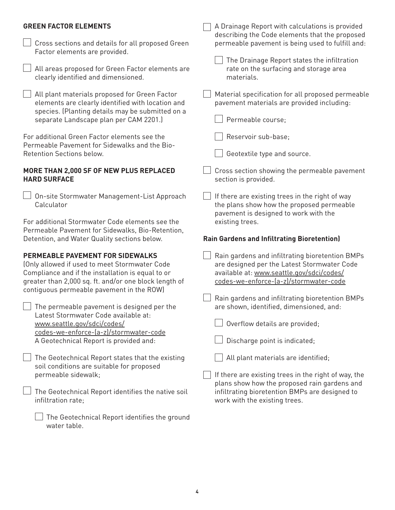#### **GREEN FACTOR ELEMENTS**

A Drainage Report with calculations is provided describing the Code elements that the proposed permeable pavement is being used to fulfill and: The Drainage Report states the infiltration rate on the surfacing and storage area materials. Material specification for all proposed permeable pavement materials are provided including: Permeable course; Reservoir sub-base; Geotextile type and source.  $\Box$  Cross section showing the permeable pavement section is provided. If there are existing trees in the right of way the plans show how the proposed permeable pavement is designed to work with the existing trees. **Rain Gardens and Infiltrating Bioretention)** Rain gardens and infiltrating bioretention BMPs are designed per the Latest Stormwater Code available at: www.seattle.gov/sdci/codes/ codes-we-enforce-(a-z)/stormwater-code Rain gardens and infiltrating bioretention BMPs are shown, identified, dimensioned, and: Overflow details are provided; Discharge point is indicated; All plant materials are identified; If there are existing trees in the right of way, the plans show how the proposed rain gardens and infiltrating bioretention BMPs are designed to work with the existing trees.  $\vert\ \vert$  Cross sections and details for all proposed Green Factor elements are provided. All areas proposed for Green Factor elements are clearly identified and dimensioned. All plant materials proposed for Green Factor elements are clearly identified with location and species. (Planting details may be submitted on a separate Landscape plan per CAM 2201.) For additional Green Factor elements see the Permeable Pavement for Sidewalks and the Bio-Retention Sections below. **MORE THAN 2,000 SF OF NEW PLUS REPLACED HARD SURFACE** On-site Stormwater Management-List Approach Calculator For additional Stormwater Code elements see the Permeable Pavement for Sidewalks, Bio-Retention, Detention, and Water Quality sections below. **PERMEABLE PAVEMENT FOR SIDEWALKS** (Only allowed if used to meet Stormwater Code Compliance and if the installation is equal to or greater than 2,000 sq. ft. and/or one block length of contiguous permeable pavement in the ROW)  $\vert \ \vert$  The permeable pavement is designed per the Latest Stormwater Code available at: www.seattle.gov/sdci/codes/ codes-we-enforce-(a-z)/stormwater-code A Geotechnical Report is provided and:  $\Box$  The Geotechnical Report states that the existing soil conditions are suitable for proposed permeable sidewalk;  $\perp$  The Geotechnical Report identifies the native soil infiltration rate;

**4**

 $\perp$  The Geotechnical Report identifies the ground

water table.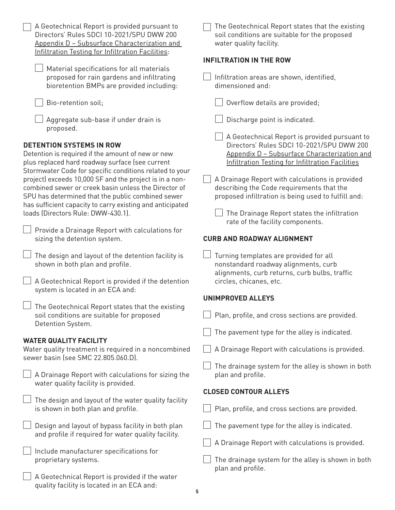| A Geotechnical Report is provided pursuant to<br>Directors' Rules SDCI 10-2021/SPU DWW 200<br>Appendix D - Subsurface Characterization and<br>Infiltration Testing for Infiltration Facilities:                                                                                                                                                                                                                                                                               | The Geotechnical Report states that the existing<br>soil conditions are suitable for the proposed<br>water quality facility.                                                                                                                                                                                                                                                                                                             |
|-------------------------------------------------------------------------------------------------------------------------------------------------------------------------------------------------------------------------------------------------------------------------------------------------------------------------------------------------------------------------------------------------------------------------------------------------------------------------------|------------------------------------------------------------------------------------------------------------------------------------------------------------------------------------------------------------------------------------------------------------------------------------------------------------------------------------------------------------------------------------------------------------------------------------------|
| Material specifications for all materials<br>proposed for rain gardens and infiltrating<br>bioretention BMPs are provided including:                                                                                                                                                                                                                                                                                                                                          | <b>INFILTRATION IN THE ROW</b><br>Infiltration areas are shown, identified,<br>dimensioned and:                                                                                                                                                                                                                                                                                                                                          |
| Bio-retention soil;                                                                                                                                                                                                                                                                                                                                                                                                                                                           | Overflow details are provided;                                                                                                                                                                                                                                                                                                                                                                                                           |
| Aggregate sub-base if under drain is<br>proposed.                                                                                                                                                                                                                                                                                                                                                                                                                             | Discharge point is indicated.                                                                                                                                                                                                                                                                                                                                                                                                            |
| <b>DETENTION SYSTEMS IN ROW</b><br>Detention is required if the amount of new or new<br>plus replaced hard roadway surface (see current<br>Stormwater Code for specific conditions related to your<br>project) exceeds 10,000 SF and the project is in a non-<br>combined sewer or creek basin unless the Director of<br>SPU has determined that the public combined sewer<br>has sufficient capacity to carry existing and anticipated<br>loads (Directors Rule: DWW-430.1). | A Geotechnical Report is provided pursuant to<br>Directors' Rules SDCI 10-2021/SPU DWW 200<br>Appendix D - Subsurface Characterization and<br>Infiltration Testing for Infiltration Facilities<br>A Drainage Report with calculations is provided<br>describing the Code requirements that the<br>proposed infiltration is being used to fulfill and:<br>The Drainage Report states the infiltration<br>rate of the facility components. |
| Provide a Drainage Report with calculations for<br>sizing the detention system.                                                                                                                                                                                                                                                                                                                                                                                               | <b>CURB AND ROADWAY ALIGNMENT</b>                                                                                                                                                                                                                                                                                                                                                                                                        |
| The design and layout of the detention facility is<br>shown in both plan and profile.<br>A Geotechnical Report is provided if the detention                                                                                                                                                                                                                                                                                                                                   | Turning templates are provided for all<br>nonstandard roadway alignments, curb<br>alignments, curb returns, curb bulbs, traffic<br>circles, chicanes, etc.                                                                                                                                                                                                                                                                               |
| system is located in an ECA and:                                                                                                                                                                                                                                                                                                                                                                                                                                              | <b>UNIMPROVED ALLEYS</b>                                                                                                                                                                                                                                                                                                                                                                                                                 |
| $\Box$ The Geotechnical Report states that the existing<br>soil conditions are suitable for proposed<br>Detention System.                                                                                                                                                                                                                                                                                                                                                     | Plan, profile, and cross sections are provided.                                                                                                                                                                                                                                                                                                                                                                                          |
|                                                                                                                                                                                                                                                                                                                                                                                                                                                                               | The pavement type for the alley is indicated.                                                                                                                                                                                                                                                                                                                                                                                            |
| <b>WATER QUALITY FACILITY</b><br>Water quality treatment is required in a noncombined<br>sewer basin (see SMC 22.805.060.D).                                                                                                                                                                                                                                                                                                                                                  | A Drainage Report with calculations is provided.                                                                                                                                                                                                                                                                                                                                                                                         |
| A Drainage Report with calculations for sizing the<br>water quality facility is provided.                                                                                                                                                                                                                                                                                                                                                                                     | The drainage system for the alley is shown in both<br>plan and profile.                                                                                                                                                                                                                                                                                                                                                                  |
|                                                                                                                                                                                                                                                                                                                                                                                                                                                                               | <b>CLOSED CONTOUR ALLEYS</b>                                                                                                                                                                                                                                                                                                                                                                                                             |
| The design and layout of the water quality facility<br>is shown in both plan and profile.                                                                                                                                                                                                                                                                                                                                                                                     | Plan, profile, and cross sections are provided.                                                                                                                                                                                                                                                                                                                                                                                          |
| Design and layout of bypass facility in both plan<br>and profile if required for water quality facility.                                                                                                                                                                                                                                                                                                                                                                      | The pavement type for the alley is indicated.                                                                                                                                                                                                                                                                                                                                                                                            |
|                                                                                                                                                                                                                                                                                                                                                                                                                                                                               | A Drainage Report with calculations is provided.                                                                                                                                                                                                                                                                                                                                                                                         |
| Include manufacturer specifications for<br>proprietary systems.                                                                                                                                                                                                                                                                                                                                                                                                               | The drainage system for the alley is shown in both<br>plan and profile.                                                                                                                                                                                                                                                                                                                                                                  |
| A Geotechnical Report is provided if the water<br>quality facility is located in an ECA and:<br>5                                                                                                                                                                                                                                                                                                                                                                             |                                                                                                                                                                                                                                                                                                                                                                                                                                          |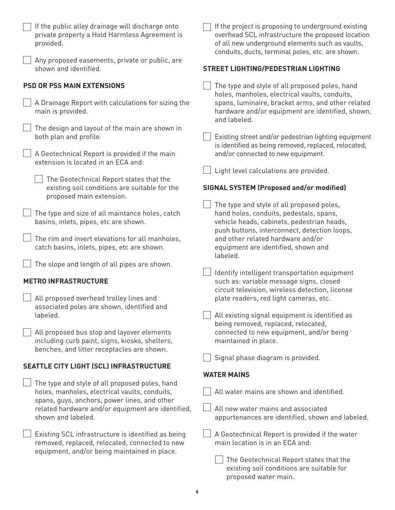| If the public alley drainage will discharge onto<br>private property a Hold Harmless Agreement is<br>provided.                                  | If the project is proposing to underground existing<br>overhead SCL infrastructure the proposed location<br>of all new underground elements such as vaults,<br>conduits, ducts, terminal poles, etc. are shown. |
|-------------------------------------------------------------------------------------------------------------------------------------------------|-----------------------------------------------------------------------------------------------------------------------------------------------------------------------------------------------------------------|
| Any proposed easements, private or public, are<br>shown and identified.                                                                         | <b>STREET LIGHTING/PEDESTRIAN LIGHTING</b>                                                                                                                                                                      |
| <b>PSD OR PSS MAIN EXTENSIONS</b>                                                                                                               | The type and style of all proposed poles, hand<br>holes, manholes, electrical vaults, conduits,                                                                                                                 |
| A Drainage Report with calculations for sizing the<br>main is provided.                                                                         | spans, luminaire, bracket arms, and other related<br>hardware and/or equipment are identified, shown,<br>and labeled.                                                                                           |
| The design and layout of the main are shown in<br>both plan and profile.                                                                        | Existing street and/or pedestrian lighting equipment<br>is identified as being removed, replaced, relocated,                                                                                                    |
| A Geotechnical Report is provided if the main<br>extension is located in an ECA and:                                                            | and/or connected to new equipment.                                                                                                                                                                              |
| The Geotechnical Report states that the                                                                                                         | Light level calculations are provided.                                                                                                                                                                          |
| existing soil conditions are suitable for the<br>proposed main extension.                                                                       | <b>SIGNAL SYSTEM (Proposed and/or modified)</b>                                                                                                                                                                 |
|                                                                                                                                                 | The type and style of all proposed poles,                                                                                                                                                                       |
| The type and size of all maintance holes, catch<br>basins, inlets, pipes, etc are shown.                                                        | hand holes, conduits, pedestals, spans,<br>vehicle heads, cabinets, pedestrian heads,                                                                                                                           |
|                                                                                                                                                 | push buttons, interconnect, detection loops,                                                                                                                                                                    |
| The rim and invert elevations for all manholes,                                                                                                 | and other related hardware and/or                                                                                                                                                                               |
| catch basins, inlets, pipes, etc are shown.                                                                                                     | equipment are identified, shown and<br>labeled.                                                                                                                                                                 |
| The slope and length of all pipes are shown.                                                                                                    | Identify intelligent transportation equipment                                                                                                                                                                   |
| <b>METRO INFRASTRUCTURE</b>                                                                                                                     | such as: variable message signs, closed<br>circuit television, wireless detection, license                                                                                                                      |
| All proposed overhead trolley lines and<br>associated poles are shown, identified and                                                           | plate readers, red light cameras, etc.                                                                                                                                                                          |
| labeled.                                                                                                                                        | All existing signal equipment is identified as<br>being removed, replaced, relocated,                                                                                                                           |
| All proposed bus stop and layover elements<br>including curb paint, signs, kiosks, shelters,                                                    | connected to new equipment, and/or being<br>maintained in place.                                                                                                                                                |
| benches, and litter receptacles are shown.                                                                                                      | Signal phase diagram is provided.                                                                                                                                                                               |
| <b>SEATTLE CITY LIGHT (SCL) INFRASTRUCTURE</b>                                                                                                  |                                                                                                                                                                                                                 |
|                                                                                                                                                 | <b>WATER MAINS</b>                                                                                                                                                                                              |
| The type and style of all proposed poles, hand<br>holes, manholes, electrical vaults, conduits,<br>spans, guys, anchors, power lines, and other | All water mains are shown and identified.                                                                                                                                                                       |
| related hardware and/or equipment are identified,                                                                                               | All new water mains and associated                                                                                                                                                                              |
| shown and labeled.                                                                                                                              | appurtenances are identified, shown and labeled.                                                                                                                                                                |
| Existing SCL infrastructure is identified as being<br>removed, replaced, relocated, connected to new                                            | A Geotechnical Report is provided if the water<br>main location is in an ECA and:                                                                                                                               |
| equipment, and/or being maintained in place.                                                                                                    | The Geotechnical Report states that the                                                                                                                                                                         |
|                                                                                                                                                 | existing soil conditions are suitable for<br>proposed water main.                                                                                                                                               |